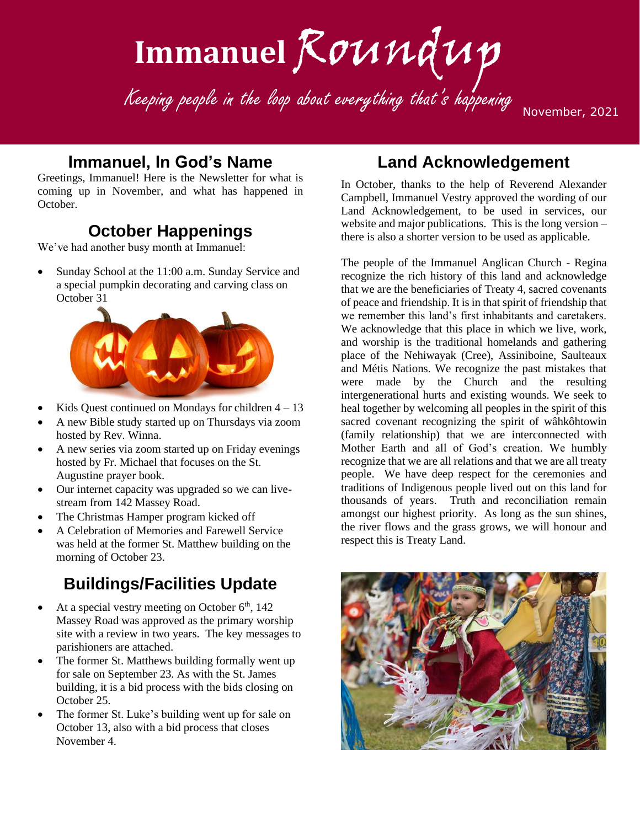# Immanuel Roundup

Keeping people in the loop about everything that's happening

November, 2021

#### **Immanuel, In God's Name**

Greetings, Immanuel! Here is the Newsletter for what is coming up in November, and what has happened in October.

## **October Happenings**

We've had another busy month at Immanuel:

• Sunday School at the 11:00 a.m. Sunday Service and a special pumpkin decorating and carving class on October 31



- Kids Quest continued on Mondays for children  $4 13$
- A new Bible study started up on Thursdays via zoom hosted by Rev. Winna.
- A new series via zoom started up on Friday evenings hosted by Fr. Michael that focuses on the St. Augustine prayer book.
- Our internet capacity was upgraded so we can livestream from 142 Massey Road.
- The Christmas Hamper program kicked off
- A Celebration of Memories and Farewell Service was held at the former St. Matthew building on the morning of October 23.

## **Buildings/Facilities Update**

- At a special vestry meeting on October  $6<sup>th</sup>$ , 142 Massey Road was approved as the primary worship site with a review in two years. The key messages to parishioners are attached.
- The former St. Matthews building formally went up for sale on September 23. As with the St. James building, it is a bid process with the bids closing on October 25.
- The former St. Luke's building went up for sale on October 13, also with a bid process that closes November 4.

#### **Land Acknowledgement**

In October, thanks to the help of Reverend Alexander Campbell, Immanuel Vestry approved the wording of our Land Acknowledgement, to be used in services, our website and major publications. This is the long version – there is also a shorter version to be used as applicable.

The people of the Immanuel Anglican Church - Regina recognize the rich history of this land and acknowledge that we are the beneficiaries of Treaty 4, sacred covenants of peace and friendship. It is in that spirit of friendship that we remember this land's first inhabitants and caretakers. We acknowledge that this place in which we live, work, and worship is the traditional homelands and gathering place of the Nehiwayak (Cree), Assiniboine, Saulteaux and Métis Nations. We recognize the past mistakes that were made by the Church and the resulting intergenerational hurts and existing wounds. We seek to heal together by welcoming all peoples in the spirit of this sacred covenant recognizing the spirit of wâhkôhtowin (family relationship) that we are interconnected with Mother Earth and all of God's creation. We humbly recognize that we are all relations and that we are all treaty people. We have deep respect for the ceremonies and traditions of Indigenous people lived out on this land for thousands of years. Truth and reconciliation remain amongst our highest priority. As long as the sun shines, the river flows and the grass grows, we will honour and respect this is Treaty Land.